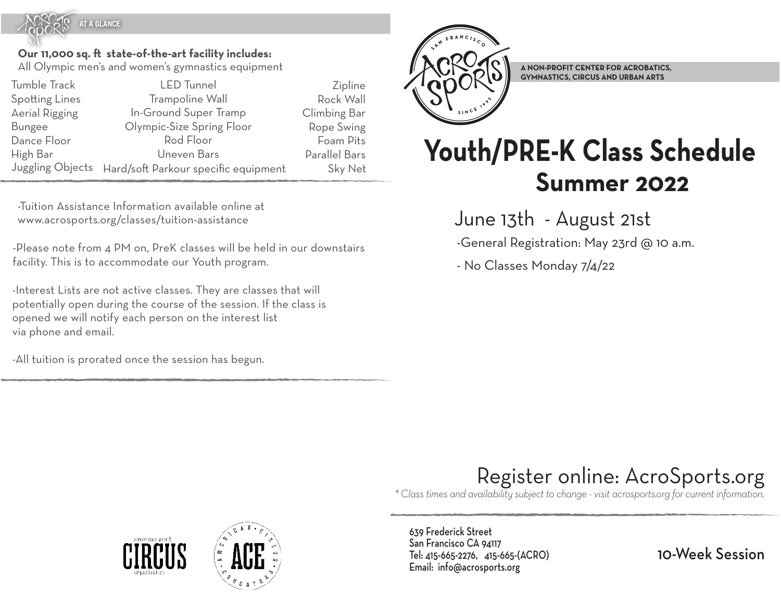

#### Our 11,000 sq. ft state-of-the-art facility includes:

All Olympic men's and women's gymnastics equipment

| Tumble Track          | <b>LED</b> Tunnel                                     | Zipline              |
|-----------------------|-------------------------------------------------------|----------------------|
| <b>Spotting Lines</b> | Trampoline Wall                                       | Rock Wall            |
| <b>Aerial Rigging</b> | In-Ground Super Tramp                                 | Climbing Bar         |
| Bungee                | Olympic-Size Spring Floor                             | <b>Rope Swing</b>    |
| Dance Floor           | Rod Floor                                             | Foam Pits            |
| High Bar              | <b>Uneven Bars</b>                                    | <b>Parallel Bars</b> |
|                       | Juggling Objects Hard/soft Parkour specific equipment | Sky Net              |

-Tuition Assistance Information available online at www.acrosports.org/classes/tuition-assistance

-Please note from 4 PM on, PreK classes will be held in our downstairs facility. This is to accommodate our Youth program.

-Interest Lists are not active classes. They are classes that will potentially open during the course of the session. If the class is opened we will notify each person on the interest list via phone and email.

-All tuition is prorated once the session has begun.



**A NON-PROFIT CENTER FOR ACROBATICS, GYMNASTICS, CIRCUS AND URBAN ARTS**

# **Youth/PRE-K Class Schedule Summer 2022**

June 13th - August 21st

-General Registration: May 23rd @ 10 a.m.

- No Classes Monday 7/4/22

## Register online: AcroSports.org

*\* Class times and availability subject to change - visit acrosports.org for current information.*

639 Frederick Street San Francisco CA 94117 Tel: 415-665-2276, 415-665-(ACRO) Email: info@acrosports.org

10-Week Session